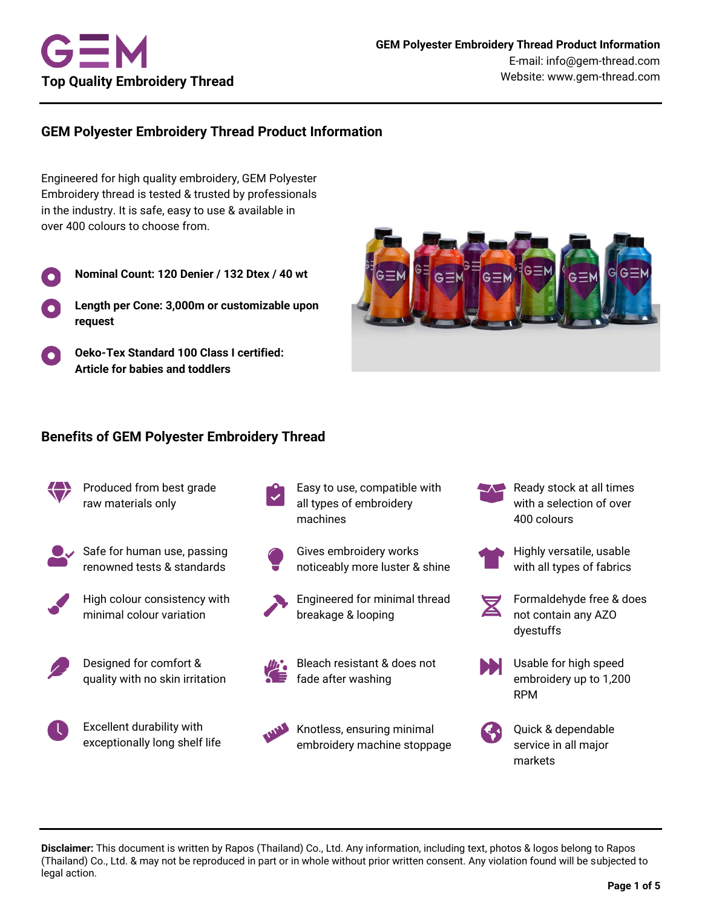

# **GEM Polyester Embroidery Thread Product Information**

Engineered for high quality embroidery, GEM Polyester Embroidery thread is tested & trusted by professionals in the industry. It is safe, easy to use & available in over 400 colours to choose from.

- **Nominal Count: 120 Denier / 132 Dtex / 40 wt**
- **Length per Cone: 3,000m or customizable upon request**
- **Oeko-Tex Standard 100 Class I certified: Article for babies and toddlers**



## **Benefits of GEM Polyester Embroidery Thread**



Produced from best grade raw materials only



Safe for human use, passing renowned tests & standards



High colour consistency with minimal colour variation



Designed for comfort & quality with no skin irritation



- Easy to use, compatible with all types of embroidery machines
- Gives embroidery works noticeably more luster & shine
- Engineered for minimal thread breakage & looping







Knotless, ensuring minimal embroidery machine stoppage with a selection of over 400 colours

Ready stock at all times



- Highly versatile, usable with all types of fabrics
- Formaldehyde free & does not contain any AZO dyestuffs



Usable for high speed embroidery up to 1,200 RPM



Quick & dependable service in all major markets

**Disclaimer:** This document is written by Rapos (Thailand) Co., Ltd. Any information, including text, photos & logos belong to Rapos (Thailand) Co., Ltd. & may not be reproduced in part or in whole without prior written consent. Any violation found will be subjected to legal action.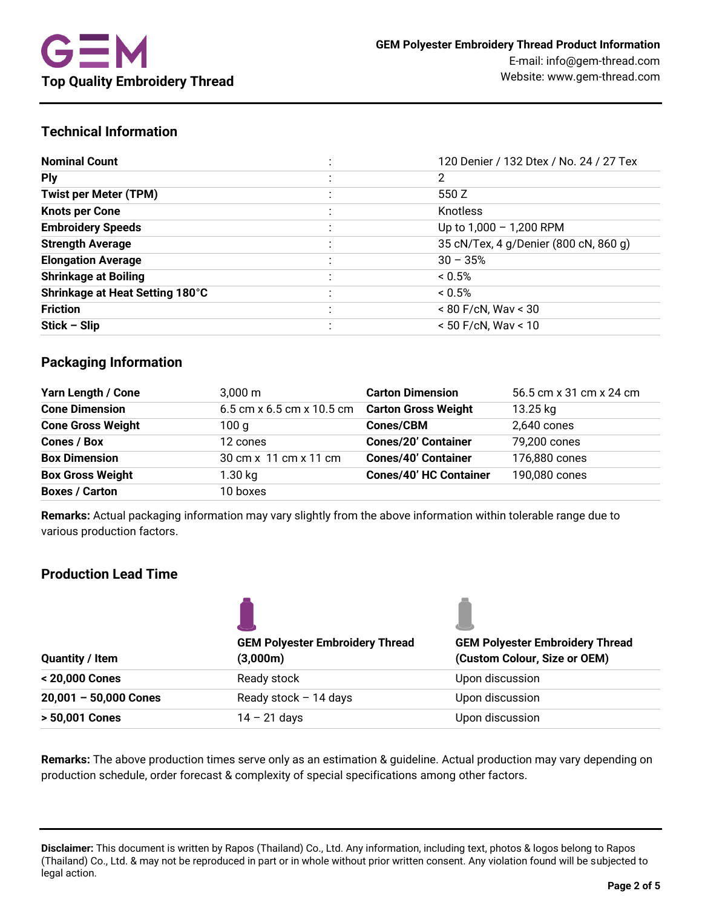# **Technical Information**

| <b>Nominal Count</b>            | 120 Denier / 132 Dtex / No. 24 / 27 Tex |
|---------------------------------|-----------------------------------------|
| <b>Ply</b>                      | 2                                       |
| <b>Twist per Meter (TPM)</b>    | 550 Z                                   |
| <b>Knots per Cone</b>           | Knotless                                |
| <b>Embroidery Speeds</b>        | Up to 1,000 - 1,200 RPM                 |
| <b>Strength Average</b>         | 35 cN/Tex, 4 g/Denier (800 cN, 860 g)   |
| <b>Elongation Average</b>       | $30 - 35%$                              |
| <b>Shrinkage at Boiling</b>     | $< 0.5\%$                               |
| Shrinkage at Heat Setting 180°C | $< 0.5\%$                               |
| <b>Friction</b>                 | $< 80$ F/cN, Wav $< 30$                 |
| $Stick - Slip$                  | $< 50$ F/cN, Wav $< 10$                 |

# **Packaging Information**

| <b>Yarn Length / Cone</b> | $3,000 \; \text{m}$                           | <b>Carton Dimension</b>       | 56.5 cm x 31 cm x 24 cm |
|---------------------------|-----------------------------------------------|-------------------------------|-------------------------|
| <b>Cone Dimension</b>     | 6.5 cm x 6.5 cm x 10.5 cm Carton Gross Weight |                               | 13.25 kg                |
| <b>Cone Gross Weight</b>  | 100 g                                         | <b>Cones/CBM</b>              | 2,640 cones             |
| <b>Cones / Box</b>        | 12 cones                                      | <b>Cones/20' Container</b>    | 79,200 cones            |
| <b>Box Dimension</b>      | 30 cm x 11 cm x 11 cm                         | <b>Cones/40' Container</b>    | 176,880 cones           |
| <b>Box Gross Weight</b>   | $1.30$ kg                                     | <b>Cones/40' HC Container</b> | 190,080 cones           |
| <b>Boxes / Carton</b>     | 10 boxes                                      |                               |                         |

**Remarks:** Actual packaging information may vary slightly from the above information within tolerable range due to various production factors.

# **Production Lead Time**

| <b>Quantity / Item</b>  | <b>GEM Polyester Embroidery Thread</b><br>(3,000m) | <b>GEM Polyester Embroidery Thread</b><br>(Custom Colour, Size or OEM) |  |
|-------------------------|----------------------------------------------------|------------------------------------------------------------------------|--|
| < 20,000 Cones          | Ready stock                                        | Upon discussion                                                        |  |
| $20,001 - 50,000$ Cones | Ready stock $-14$ days                             | Upon discussion                                                        |  |
| > 50,001 Cones          | $14 - 21$ days                                     | Upon discussion                                                        |  |

**Remarks:** The above production times serve only as an estimation & guideline. Actual production may vary depending on production schedule, order forecast & complexity of special specifications among other factors.

**Disclaimer:** This document is written by Rapos (Thailand) Co., Ltd. Any information, including text, photos & logos belong to Rapos (Thailand) Co., Ltd. & may not be reproduced in part or in whole without prior written consent. Any violation found will be subjected to legal action.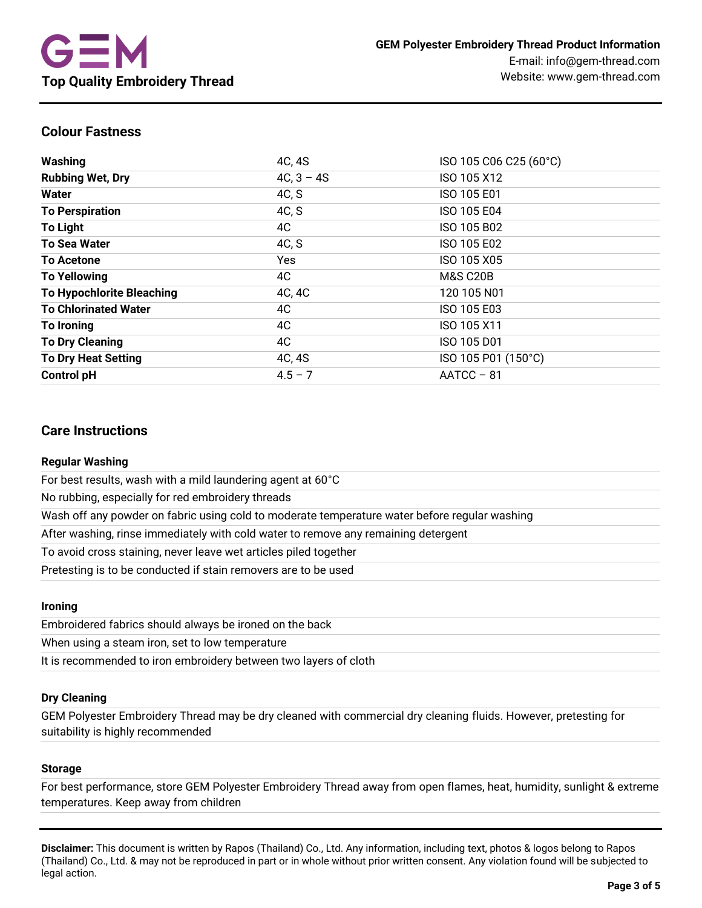## **Colour Fastness**

| Washing                          | 4C, 4S       | ISO 105 C06 C25 (60°C) |
|----------------------------------|--------------|------------------------|
| <b>Rubbing Wet, Dry</b>          | $4C, 3 - 4S$ | ISO 105 X12            |
| Water                            | 4C, S        | ISO 105 E01            |
| <b>To Perspiration</b>           | 4C, S        | ISO 105 E04            |
| <b>To Light</b>                  | 4C           | ISO 105 B02            |
| <b>To Sea Water</b>              | 4C, S        | ISO 105 E02            |
| <b>To Acetone</b>                | Yes          | ISO 105 X05            |
| <b>To Yellowing</b>              | 4C           | <b>M&amp;S C20B</b>    |
| <b>To Hypochlorite Bleaching</b> | 4C, 4C       | 120 105 N01            |
| <b>To Chlorinated Water</b>      | 4C           | ISO 105 E03            |
| To Ironing                       | 4C           | ISO 105 X11            |
| <b>To Dry Cleaning</b>           | 4C           | ISO 105 D01            |
| <b>To Dry Heat Setting</b>       | 4C, 4S       | ISO 105 P01 (150°C)    |
| <b>Control pH</b>                | $4.5 - 7$    | $AATCC - 81$           |

## **Care Instructions**

### **Regular Washing**

For best results, wash with a mild laundering agent at 60°C

No rubbing, especially for red embroidery threads

Wash off any powder on fabric using cold to moderate temperature water before regular washing

After washing, rinse immediately with cold water to remove any remaining detergent

To avoid cross staining, never leave wet articles piled together

Pretesting is to be conducted if stain removers are to be used

### **Ironing**

Embroidered fabrics should always be ironed on the back

When using a steam iron, set to low temperature

It is recommended to iron embroidery between two layers of cloth

### **Dry Cleaning**

GEM Polyester Embroidery Thread may be dry cleaned with commercial dry cleaning fluids. However, pretesting for suitability is highly recommended

### **Storage**

For best performance, store GEM Polyester Embroidery Thread away from open flames, heat, humidity, sunlight & extreme temperatures. Keep away from children

**Disclaimer:** This document is written by Rapos (Thailand) Co., Ltd. Any information, including text, photos & logos belong to Rapos (Thailand) Co., Ltd. & may not be reproduced in part or in whole without prior written consent. Any violation found will be subjected to legal action.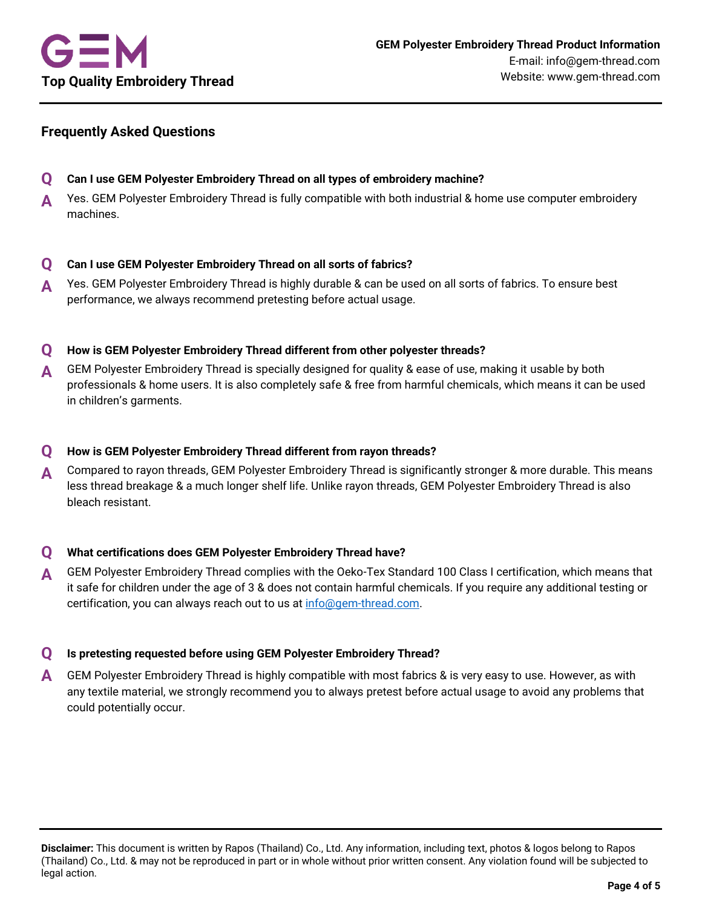# **Frequently Asked Questions**

- **Q Can I use GEM Polyester Embroidery Thread on all types of embroidery machine?**
- **A** Yes. GEM Polyester Embroidery Thread is fully compatible with both industrial & home use computer embroidery machines.

## **Q Can I use GEM Polyester Embroidery Thread on all sorts of fabrics?**

**A** Yes. GEM Polyester Embroidery Thread is highly durable & can be used on all sorts of fabrics. To ensure best performance, we always recommend pretesting before actual usage.

## **Q How is GEM Polyester Embroidery Thread different from other polyester threads?**

**A** GEM Polyester Embroidery Thread is specially designed for quality & ease of use, making it usable by both professionals & home users. It is also completely safe & free from harmful chemicals, which means it can be used in children's garments.

## **Q How is GEM Polyester Embroidery Thread different from rayon threads?**

**A** Compared to rayon threads, GEM Polyester Embroidery Thread is significantly stronger & more durable. This means less thread breakage & a much longer shelf life. Unlike rayon threads, GEM Polyester Embroidery Thread is also bleach resistant.

### **Q What certifications does GEM Polyester Embroidery Thread have?**

**A** GEM Polyester Embroidery Thread complies with the Oeko-Tex Standard 100 Class I certification, which means that it safe for children under the age of 3 & does not contain harmful chemicals. If you require any additional testing or certification, you can always reach out to us a[t info@gem-thread.com.](mailto:info@gem-thread.com)

### **Q Is pretesting requested before using GEM Polyester Embroidery Thread?**

**A** GEM Polyester Embroidery Thread is highly compatible with most fabrics & is very easy to use. However, as with any textile material, we strongly recommend you to always pretest before actual usage to avoid any problems that could potentially occur.

**Disclaimer:** This document is written by Rapos (Thailand) Co., Ltd. Any information, including text, photos & logos belong to Rapos (Thailand) Co., Ltd. & may not be reproduced in part or in whole without prior written consent. Any violation found will be subjected to legal action.